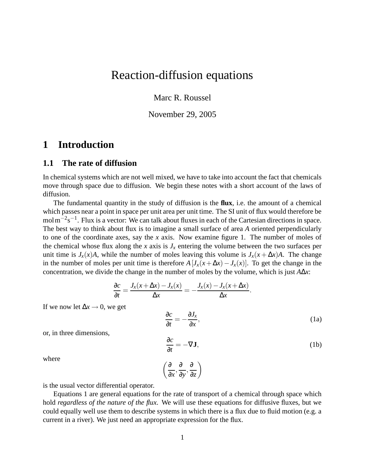# Reaction-diffusion equations

Marc R. Roussel

November 29, 2005

## **1 Introduction**

#### **1.1 The rate of diffusion**

In chemical systems which are not well mixed, we have to take into account the fact that chemicals move through space due to diffusion. We begin these notes with a short account of the laws of diffusion.

The fundamental quantity in the study of diffusion is the **flux**, i.e. the amount of a chemical which passes near a point in space per unit area per unit time. The SI unit of flux would therefore be mol m<sup>-2</sup>s<sup>-1</sup>. Flux is a vector: We can talk about fluxes in each of the Cartesian directions in space. The best way to think about flux is to imagine a small surface of area *A* oriented perpendicularly to one of the coordinate axes, say the *x* axis. Now examine figure 1. The number of moles of the chemical whose flux along the *x* axis is  $J_x$  entering the volume between the two surfaces per unit time is  $J_x(x)A$ , while the number of moles leaving this volume is  $J_x(x + \Delta x)A$ . The change in the number of moles per unit time is therefore  $A[J_x(x+\Delta x)-J_x(x)]$ . To get the change in the concentration, we divide the change in the number of moles by the volume, which is just *A*∆*x*:

$$
\frac{\partial c}{\partial t} = \frac{J_x(x + \Delta x) - J_x(x)}{\Delta x} = -\frac{J_x(x) - J_x(x + \Delta x)}{\Delta x}.
$$

If we now let  $\Delta x \rightarrow 0$ , we get

$$
\frac{\partial c}{\partial t} = -\frac{\partial J_x}{\partial x},\tag{1a}
$$

or, in three dimensions,

$$
\frac{\partial c}{\partial t} = -\nabla \mathbf{J},\tag{1b}
$$

where

$$
\left(\frac{\partial}{\partial x}, \frac{\partial}{\partial y}, \frac{\partial}{\partial z}\right)
$$

is the usual vector differential operator.

Equations 1 are general equations for the rate of transport of a chemical through space which hold *regardless of the nature of the flux*. We will use these equations for diffusive fluxes, but we could equally well use them to describe systems in which there is a flux due to fluid motion (e.g. a current in a river). We just need an appropriate expression for the flux.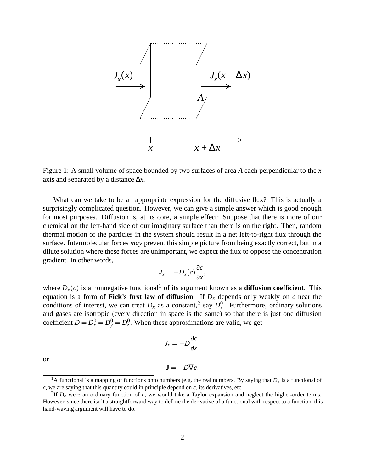

Figure 1: A small volume of space bounded by two surfaces of area *A* each perpendicular to the *x* axis and separated by a distance ∆*x*.

What can we take to be an appropriate expression for the diffusive flux? This is actually a surprisingly complicated question. However, we can give a simple answer which is good enough for most purposes. Diffusion is, at its core, a simple effect: Suppose that there is more of our chemical on the left-hand side of our imaginary surface than there is on the right. Then, random thermal motion of the particles in the system should result in a net left-to-right flux through the surface. Intermolecular forces *may* prevent this simple picture from being exactly correct, but in a dilute solution where these forces are unimportant, we expect the flux to oppose the concentration gradient. In other words,

$$
J_x = -D_x(c)\frac{\partial c}{\partial x},
$$

where  $D_x(c)$  is a nonnegative functional<sup>1</sup> of its argument known as a **diffusion coefficient**. This equation is a form of **Fick's first law of diffusion**. If *D<sup>x</sup>* depends only weakly on *c* near the conditions of interest, we can treat  $D_x$  as a constant,<sup>2</sup> say  $D_x^0$ . Furthermore, ordinary solutions and gases are isotropic (every direction in space is the same) so that there is just one diffusion coefficient  $D = D_x^0 = D_y^0 = D_z^0$ . When these approximations are valid, we get

$$
J_x = -D\frac{\partial c}{\partial x},
$$

or

$$
\mathbf{J}=-D\nabla c.
$$

<sup>&</sup>lt;sup>1</sup>A functional is a mapping of functions onto numbers (e.g. the real numbers. By saying that  $D_x$  is a functional of *c*, we are saying that this quantity could in principle depend on *c*, its derivatives, etc.

<sup>&</sup>lt;sup>2</sup>If  $D_x$  were an ordinary function of  $c$ , we would take a Taylor expansion and neglect the higher-order terms. However, since there isn't a straightforward way to define the derivative of a functional with respect to a function, this hand-waving argument will have to do.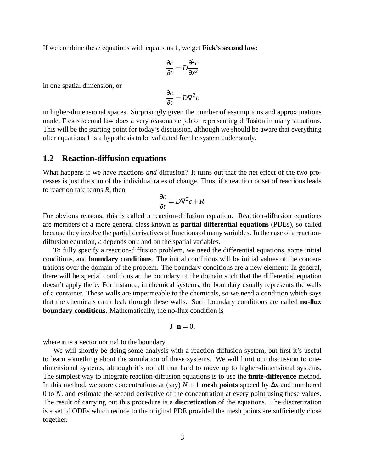If we combine these equations with equations 1, we get **Fick's second law**:

$$
\frac{\partial c}{\partial t} = D \frac{\partial^2 c}{\partial x^2}
$$

in one spatial dimension, or

$$
\frac{\partial c}{\partial t} = D\nabla^2 c
$$

in higher-dimensional spaces. Surprisingly given the number of assumptions and approximations made, Fick's second law does a very reasonable job of representing diffusion in many situations. This will be the starting point for today's discussion, although we should be aware that everything after equations 1 is a hypothesis to be validated for the system under study.

#### **1.2 Reaction-diffusion equations**

What happens if we have reactions *and* diffusion? It turns out that the net effect of the two processes is just the sum of the individual rates of change. Thus, if a reaction or set of reactions leads to reaction rate terms *R*, then

$$
\frac{\partial c}{\partial t} = D\nabla^2 c + R.
$$

For obvious reasons, this is called a reaction-diffusion equation. Reaction-diffusion equations are members of a more general class known as **partial differential equations** (PDEs), so called because they involve the partial derivatives of functions of many variables. In the case of a reactiondiffusion equation, *c* depends on *t* and on the spatial variables.

To fully specify a reaction-diffusion problem, we need the differential equations, some initial conditions, and **boundary conditions**. The initial conditions will be initial values of the concentrations over the domain of the problem. The boundary conditions are a new element: In general, there will be special conditions at the boundary of the domain such that the differential equation doesn't apply there. For instance, in chemical systems, the boundary usually represents the walls of a container. These walls are impermeable to the chemicals, so we need a condition which says that the chemicals can't leak through these walls. Such boundary conditions are called **no-flux boundary conditions**. Mathematically, the no-flux condition is

$$
\mathbf{J}\cdot\mathbf{n}=0,
$$

where **n** is a vector normal to the boundary.

We will shortly be doing some analysis with a reaction-diffusion system, but first it's useful to learn something about the simulation of these systems. We will limit our discussion to onedimensional systems, although it's not all that hard to move up to higher-dimensional systems. The simplest way to integrate reaction-diffusion equations is to use the **finite-difference** method. In this method, we store concentrations at (say)  $N+1$  mesh points spaced by  $\Delta x$  and numbered 0 to *N*, and estimate the second derivative of the concentration at every point using these values. The result of carrying out this procedure is a **discretization** of the equations. The discretization is a set of ODEs which reduce to the original PDE provided the mesh points are sufficiently close together.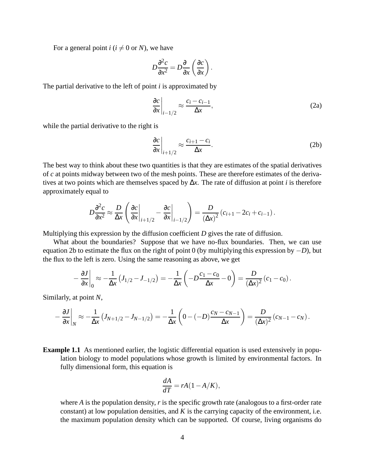For a general point  $i$  ( $i \neq 0$  or *N*), we have

$$
D\frac{\partial^2 c}{\partial x^2} = D\frac{\partial}{\partial x}\left(\frac{\partial c}{\partial x}\right).
$$

The partial derivative to the left of point *i* is approximated by

$$
\left. \frac{\partial c}{\partial x} \right|_{i-1/2} \approx \frac{c_i - c_{i-1}}{\Delta x},\tag{2a}
$$

while the partial derivative to the right is

$$
\left. \frac{\partial c}{\partial x} \right|_{i+1/2} \approx \frac{c_{i+1} - c_i}{\Delta x}.
$$
\n(2b)

The best way to think about these two quantities is that they are estimates of the spatial derivatives of *c* at points midway between two of the mesh points. These are therefore estimates of the derivatives at two points which are themselves spaced by ∆*x*. The rate of diffusion at point *i* is therefore approximately equal to

$$
D\frac{\partial^2 c}{\partial x^2} \approx \frac{D}{\Delta x} \left( \frac{\partial c}{\partial x}\Big|_{i+1/2} - \frac{\partial c}{\partial x}\Big|_{i-1/2} \right) = \frac{D}{(\Delta x)^2} (c_{i+1} - 2c_i + c_{i-1}).
$$

Multiplying this expression by the diffusion coefficient *D* gives the rate of diffusion.

What about the boundaries? Suppose that we have no-flux boundaries. Then, we can use equation 2b to estimate the flux on the right of point 0 (by multiplying this expression by −*D*), but the flux to the left is zero. Using the same reasoning as above, we get

$$
-\frac{\partial J}{\partial x}\Big|_0 \approx -\frac{1}{\Delta x}\left(J_{1/2}-J_{-1/2}\right) = -\frac{1}{\Delta x}\left(-D\frac{c_1-c_0}{\Delta x}-0\right) = \frac{D}{(\Delta x)^2}(c_1-c_0).
$$

Similarly, at point *N*,

$$
-\frac{\partial J}{\partial x}\bigg|_N \approx -\frac{1}{\Delta x}\left(J_{N+1/2}-J_{N-1/2}\right) = -\frac{1}{\Delta x}\left(0-(-D)\frac{c_N-c_{N-1}}{\Delta x}\right) = \frac{D}{(\Delta x)^2}\left(c_{N-1}-c_N\right).
$$

**Example 1.1** As mentioned earlier, the logistic differential equation is used extensively in population biology to model populations whose growth is limited by environmental factors. In fully dimensional form, this equation is

$$
\frac{dA}{dT} = rA(1 - A/K),
$$

where *A* is the population density, *r* is the specific growth rate (analogous to a first-order rate constant) at low population densities, and *K* is the carrying capacity of the environment, i.e. the maximum population density which can be supported. Of course, living organisms do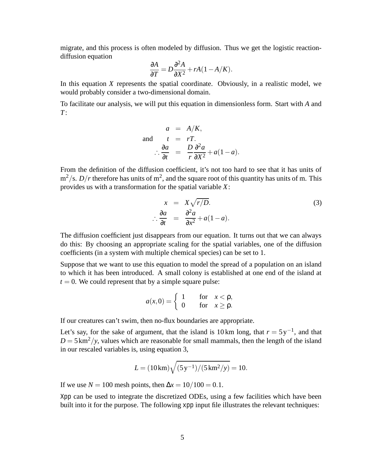migrate, and this process is often modeled by diffusion. Thus we get the logistic reactiondiffusion equation

$$
\frac{\partial A}{\partial T} = D \frac{\partial^2 A}{\partial X^2} + rA(1 - A/K).
$$

In this equation *X* represents the spatial coordinate. Obviously, in a realistic model, we would probably consider a two-dimensional domain.

To facilitate our analysis, we will put this equation in dimensionless form. Start with *A* and *T*:

$$
a = A/K,
$$
  
and 
$$
t = rT.
$$

$$
\frac{\partial a}{\partial t} = \frac{D}{r} \frac{\partial^2 a}{\partial X^2} + a(1 - a).
$$

From the definition of the diffusion coefficient, it's not too hard to see that it has units of  $\text{m}^2/\text{s}$ . *D*/*r* therefore has units of m<sup>2</sup>, and the square root of this quantity has units of m. This provides us with a transformation for the spatial variable *X*:

$$
x = X\sqrt{r/D}.
$$
  
\n
$$
\therefore \frac{\partial a}{\partial t} = \frac{\partial^2 a}{\partial x^2} + a(1 - a).
$$
 (3)

The diffusion coefficient just disappears from our equation. It turns out that we can always do this: By choosing an appropriate scaling for the spatial variables, one of the diffusion coefficients (in a system with multiple chemical species) can be set to 1.

Suppose that we want to use this equation to model the spread of a population on an island to which it has been introduced. A small colony is established at one end of the island at  $t = 0$ . We could represent that by a simple square pulse:

$$
a(x,0) = \begin{cases} 1 & \text{for } x < \rho, \\ 0 & \text{for } x \ge \rho. \end{cases}
$$

If our creatures can't swim, then no-flux boundaries are appropriate.

Let's say, for the sake of argument, that the island is 10 km long, that  $r = 5y^{-1}$ , and that  $D = 5 \text{ km}^2/\text{y}$ , values which are reasonable for small mammals, then the length of the island in our rescaled variables is, using equation 3,

$$
L = (10 \,\mathrm{km}) \sqrt{(5 \,\mathrm{y}^{-1})/(5 \,\mathrm{km}^2/\mathrm{y})} = 10.
$$

If we use  $N = 100$  mesh points, then  $\Delta x = 10/100 = 0.1$ .

Xpp can be used to integrate the discretized ODEs, using a few facilities which have been built into it for the purpose. The following xpp input file illustrates the relevant techniques: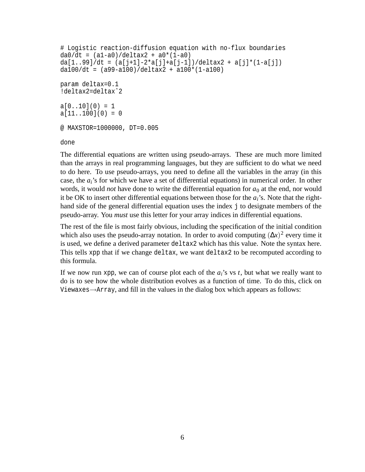```
# Logistic reaction-diffusion equation with no-flux boundaries
da0/dt = (a1-a0)/deltax2 + a0*(1-a0)da[1..99]/dt = (a[j+1]-2*a[j]+a[j-1])/delax2 + a[j)*(1-a[j])da100/dt = (a99-a100)/deltaltax2 + a100*(1-a100)param deltax=0.1
!deltax2=deltaxˆ2
a[0..10](0) = 1a[11..100](0) = 0@ MAXSTOR=1000000, DT=0.005
```
done

The differential equations are written using pseudo-arrays. These are much more limited than the arrays in real programming languages, but they are sufficient to do what we need to do here. To use pseudo-arrays, you need to define all the variables in the array (in this case, the *ai*'s for which we have a set of differential equations) in numerical order. In other words, it would *not* have done to write the differential equation for  $a_0$  at the end, nor would it be OK to insert other differential equations between those for the  $a_i$ 's. Note that the righthand side of the general differential equation uses the index j to designate members of the pseudo-array. You *must* use this letter for your array indices in differential equations.

The rest of the file is most fairly obvious, including the specification of the initial condition which also uses the pseudo-array notation. In order to avoid computing  $(\Delta x)^2$  every time it is used, we define a derived parameter deltax2 which has this value. Note the syntax here. This tells xpp that if we change deltax, we want deltax2 to be recomputed according to this formula.

If we now run xpp, we can of course plot each of the *ai*'s vs *t*, but what we really want to do is to see how the whole distribution evolves as a function of time. To do this, click on Viewaxes→Array, and fill in the values in the dialog box which appears as follows: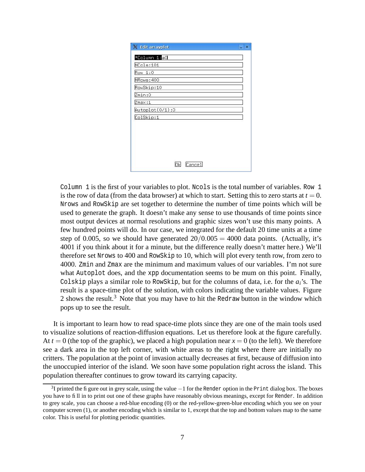| Edit arrayplot     | $\mathbf x$ |
|--------------------|-------------|
| *Column 1:a0       |             |
| NCols:101          |             |
| Row 1:0            |             |
| NRows: 400         |             |
| RowSkip:10         |             |
| Zmin:0             |             |
| $Z$ ma $\times$ :1 |             |
| Autoplot(0/1):0    |             |
| ColSkip:1          |             |
|                    |             |
|                    |             |
|                    |             |
|                    |             |
|                    |             |
| Cancel<br>Οk       |             |

Column 1 is the first of your variables to plot. Ncols is the total number of variables. Row 1 is the row of data (from the data browser) at which to start. Setting this to zero starts at  $t = 0$ . Nrows and RowSkip are set together to determine the number of time points which will be used to generate the graph. It doesn't make any sense to use thousands of time points since most output devices at normal resolutions and graphic sizes won't use this many points. A few hundred points will do. In our case, we integrated for the default 20 time units at a time step of 0.005, so we should have generated  $20/0.005 = 4000$  data points. (Actually, it's 4001 if you think about it for a minute, but the difference really doesn't matter here.) We'll therefore set Nrows to 400 and RowSkip to 10, which will plot every tenth row, from zero to 4000. Zmin and Zmax are the minimum and maximum values of our variables. I'm not sure what Autoplot does, and the xpp documentation seems to be mum on this point. Finally, Colskip plays a similar role to RowSkip, but for the columns of data, i.e. for the *ai*'s. The result is a space-time plot of the solution, with colors indicating the variable values. Figure 2 shows the result.<sup>3</sup> Note that you may have to hit the Redraw button in the window which pops up to see the result.

It is important to learn how to read space-time plots since they are one of the main tools used to visualize solutions of reaction-diffusion equations. Let us therefore look at the figure carefully. At  $t = 0$  (the top of the graphic), we placed a high population near  $x = 0$  (to the left). We therefore see a dark area in the top left corner, with white areas to the right where there are initially no critters. The population at the point of invasion actually decreases at first, because of diffusion into the unoccupied interior of the island. We soon have some population right across the island. This population thereafter continues to grow toward its carrying capacity.

<sup>&</sup>lt;sup>3</sup>I printed the figure out in grey scale, using the value  $-1$  for the Render option in the Print dialog box. The boxes you have to fill in to print out one of these graphs have reasonably obvious meanings, except for Render. In addition to grey scale, you can choose a red-blue encoding (0) or the red-yellow-green-blue encoding which you see on your computer screen (1), or another encoding which is similar to 1, except that the top and bottom values map to the same color. This is useful for plotting periodic quantities.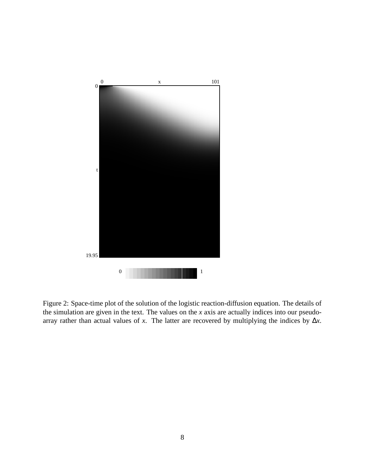

Figure 2: Space-time plot of the solution of the logistic reaction-diffusion equation. The details of the simulation are given in the text. The values on the *x* axis are actually indices into our pseudoarray rather than actual values of *x*. The latter are recovered by multiplying the indices by  $\Delta x$ .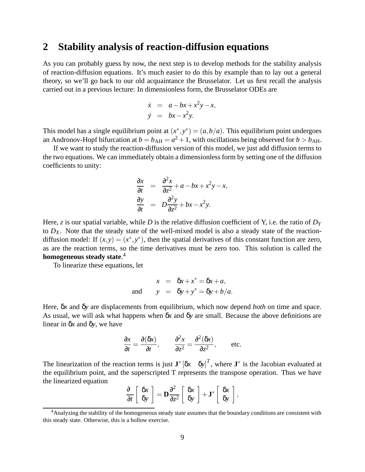### **2 Stability analysis of reaction-diffusion equations**

As you can probably guess by now, the next step is to develop methods for the stability analysis of reaction-diffusion equations. It's much easier to do this by example than to lay out a general theory, so we'll go back to our old acquaintance the Brusselator. Let us first recall the analysis carried out in a previous lecture: In dimensionless form, the Brusselator ODEs are

$$
\dot{x} = a - bx + x^2y - x,
$$
  
\n
$$
\dot{y} = bx - x^2y.
$$

This model has a single equilibrium point at  $(x^*, y^*) = (a, b/a)$ . This equilibrium point undergoes an Andronov-Hopf bifurcation at  $b = b_{AH} = a^2 + 1$ , with oscillations being observed for  $b > b_{AH}$ .

If we want to study the reaction-diffusion version of this model, we just add diffusion terms to the two equations. We can immediately obtain a dimensionlessform by setting one of the diffusion coefficients to unity:

$$
\frac{\partial x}{\partial t} = \frac{\partial^2 x}{\partial z^2} + a - bx + x^2 y - x,
$$
  

$$
\frac{\partial y}{\partial t} = D \frac{\partial^2 y}{\partial z^2} + bx - x^2 y.
$$

Here, *z* is our spatial variable, while *D* is the relative diffusion coefficient of Y, i.e. the ratio of  $D<sub>Y</sub>$ to  $D_X$ . Note that the steady state of the well-mixed model is also a steady state of the reactiondiffusion model: If  $(x, y) = (x^*, y^*)$ , then the spatial derivatives of this constant function are zero, as are the reaction terms, so the time derivatives must be zero too. This solution is called the **homogeneous steady state**. 4

To linearize these equations, let

$$
x = \delta x + x^* = \delta x + a,
$$
  
and 
$$
y = \delta y + y^* = \delta y + b/a.
$$

Here, δ*x* and δ*y* are displacements from equilibrium, which now depend *both* on time and space. As usual, we will ask what happens when δ*x* and δ*y* are small. Because the above definitions are linear in δ*x* and δ*y*, we have

$$
\frac{\partial x}{\partial t} = \frac{\partial(\delta x)}{\partial t}, \qquad \frac{\partial^2 x}{\partial z^2} = \frac{\partial^2(\delta x)}{\partial z^2}, \qquad \text{etc.}
$$

The linearization of the reaction terms is just  $J^*$   $[\delta x \quad \delta y]^T$ , where  $J^*$  is the Jacobian evaluated at the equilibrium point, and the superscripted T represents the transpose operation. Thus we have the linearized equation

$$
\frac{\partial}{\partial t} \left[ \begin{array}{c} \delta x \\ \delta y \end{array} \right] = \mathbf{D} \frac{\partial^2}{\partial z^2} \left[ \begin{array}{c} \delta x \\ \delta y \end{array} \right] + \mathbf{J}^* \left[ \begin{array}{c} \delta x \\ \delta y \end{array} \right],
$$

<sup>&</sup>lt;sup>4</sup>Analyzing the stability of the homogeneous steady state assumes that the boundary conditions are consistent with this steady state. Otherwise, this is a hollow exercise.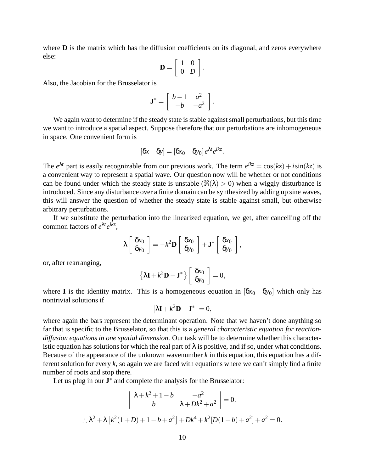where **D** is the matrix which has the diffusion coefficients on its diagonal, and zeros everywhere else:

$$
\mathbf{D} = \left[ \begin{array}{cc} 1 & 0 \\ 0 & D \end{array} \right].
$$

Also, the Jacobian for the Brusselator is

$$
\mathbf{J}^* = \left[ \begin{array}{cc} b-1 & a^2 \\ -b & -a^2 \end{array} \right].
$$

We again want to determine if the steady state is stable against small perturbations, but this time we want to introduce a spatial aspect. Suppose therefore that our perturbations are inhomogeneous in space. One convenient form is

$$
[\delta x \quad \delta y] = [\delta x_0 \quad \delta y_0] e^{\lambda t} e^{ikz}.
$$

The  $e^{\lambda t}$  part is easily recognizable from our previous work. The term  $e^{ikz} = \cos(kz) + i\sin(kz)$  is a convenient way to represent a spatial wave. Our question now will be whether or not conditions can be found under which the steady state is unstable  $(\Re(\lambda) > 0)$  when a wiggly disturbance is introduced. Since any disturbance over a finite domain can be synthesized by adding up sine waves, this will answer the question of whether the steady state is stable against small, but otherwise arbitrary perturbations.

If we substitute the perturbation into the linearized equation, we get, after cancelling off the common factors of  $e^{\lambda t}e^{ikz}$ ,

$$
\lambda \left[ \begin{array}{c} \delta x_0 \\ \delta y_0 \end{array} \right] = -k^2 \mathbf{D} \left[ \begin{array}{c} \delta x_0 \\ \delta y_0 \end{array} \right] + \mathbf{J}^* \left[ \begin{array}{c} \delta x_0 \\ \delta y_0 \end{array} \right],
$$

or, after rearranging,

$$
\{\lambda \mathbf{I} + k^2 \mathbf{D} - \mathbf{J}^* \} \left[ \begin{array}{c} \delta x_0 \\ \delta y_0 \end{array} \right] = 0,
$$

where **I** is the identity matrix. This is a homogeneous equation in  $[\delta x_0 \delta y_0]$  which only has nontrivial solutions if

$$
\left|\lambda \mathbf{I} + k^2 \mathbf{D} - \mathbf{J}^*\right| = 0,
$$

where again the bars represent the determinant operation. Note that we haven't done anything so far that is specific to the Brusselator, so that this is a *general characteristic equation for reactiondiffusion equations in one spatial dimension*. Our task will be to determine whether this characteristic equation has solutions for which the real part of  $\lambda$  is positive, and if so, under what conditions. Because of the appearance of the unknown wavenumber  $k$  in this equation, this equation has a different solution for every *k*, so again we are faced with equations where we can't simply find a finite number of roots and stop there.

Let us plug in our  $J^*$  and complete the analysis for the Brusselator:

$$
\begin{vmatrix} \lambda + k^2 + 1 - b & -a^2 \\ b & \lambda + Dk^2 + a^2 \end{vmatrix} = 0.
$$
  
 
$$
\therefore \lambda^2 + \lambda [k^2(1+D) + 1 - b + a^2] + Dk^4 + k^2 [D(1-b) + a^2] + a^2 = 0.
$$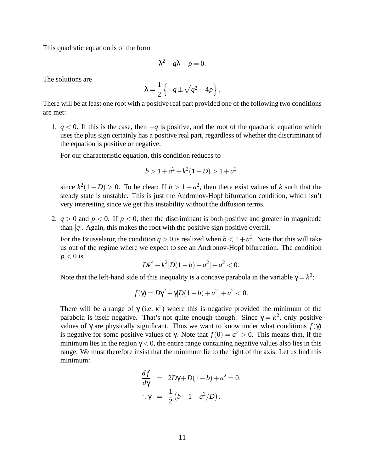This quadratic equation is of the form

$$
\lambda^2 + q\lambda + p = 0.
$$

The solutions are

$$
\lambda = \frac{1}{2} \left\{ -q \pm \sqrt{q^2 - 4p} \right\}.
$$

There will be at least one root with a positive real part provided one of the following two conditions are met:

1.  $q < 0$ . If this is the case, then  $-q$  is positive, and the root of the quadratic equation which uses the plus sign certainly has a positive real part, regardless of whether the discriminant of the equation is positive or negative.

For our characteristic equation, this condition reduces to

$$
b > 1 + a^2 + k^2(1+D) > 1 + a^2
$$

since  $k^2(1+D) > 0$ . To be clear: If  $b > 1 + a^2$ , then there exist values of *k* such that the steady state is unstable. This is just the Andronov-Hopf bifurcation condition, which isn't very interesting since we get this instability without the diffusion terms.

2.  $q > 0$  and  $p < 0$ . If  $p < 0$ , then the discriminant is both positive and greater in magnitude than  $|q|$ . Again, this makes the root with the positive sign positive overall.

For the Brusselator, the condition  $q > 0$  is realized when  $b < 1 + a^2$ . Note that this will take us out of the regime where we expect to see an Andronov-Hopf bifurcation. The condition  $p < 0$  is

$$
Dk^4 + k^2[D(1-b) + a^2] + a^2 < 0.
$$

Note that the left-hand side of this inequality is a concave parabola in the variable  $\gamma = k^2$ :

$$
f(\gamma) = D\gamma^2 + \gamma [D(1-b) + a^2] + a^2 < 0.
$$

There will be a range of  $\gamma$  (i.e.  $k^2$ ) where this is negative provided the minimum of the parabola is itself negative. That's not quite enough though. Since  $\gamma = k^2$ , only positive values of  $\gamma$  are physically significant. Thus we want to know under what conditions  $f(\gamma)$ is negative for some positive values of  $\gamma$ . Note that  $f(0) = a^2 > 0$ . This means that, if the minimum lies in the region  $\gamma$  < 0, the entire range containing negative values also lies in this range. We must therefore insist that the minimum lie to the right of the axis. Let us find this minimum:

$$
\frac{df}{d\gamma} = 2D\gamma + D(1-b) + a^2 = 0.
$$
  

$$
\therefore \gamma = \frac{1}{2}(b-1-a^2/D).
$$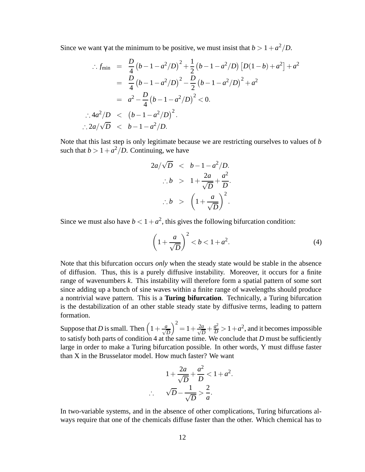Since we want  $\gamma$  at the minimum to be positive, we must insist that  $b > 1 + a^2/D$ .

$$
\therefore f_{\min} = \frac{D}{4} (b - 1 - a^2/D)^2 + \frac{1}{2} (b - 1 - a^2/D) [D(1 - b) + a^2] + a^2
$$
  
\n
$$
= \frac{D}{4} (b - 1 - a^2/D)^2 - \frac{D}{2} (b - 1 - a^2/D)^2 + a^2
$$
  
\n
$$
= a^2 - \frac{D}{4} (b - 1 - a^2/D)^2 < 0.
$$
  
\n
$$
\therefore 4a^2/D \le (b - 1 - a^2/D)^2.
$$
  
\n
$$
\therefore 2a/\sqrt{D} \le b - 1 - a^2/D.
$$

Note that this last step is only legitimate because we are restricting ourselves to values of *b* such that  $b > 1 + a^2/D$ . Continuing, we have

$$
2a/\sqrt{D} < b-1-a^2/D.
$$
\n
$$
\therefore b > 1 + \frac{2a}{\sqrt{D}} + \frac{a^2}{D}.
$$
\n
$$
\therefore b > \left(1 + \frac{a}{\sqrt{D}}\right)^2.
$$

Since we must also have  $b < 1 + a^2$ , this gives the following bifurcation condition:

$$
\left(1 + \frac{a}{\sqrt{D}}\right)^2 < b < 1 + a^2. \tag{4}
$$

Note that this bifurcation occurs *only* when the steady state would be stable in the absence of diffusion. Thus, this is a purely diffusive instability. Moreover, it occurs for a finite range of wavenumbers *k*. This instability will therefore form a spatial pattern of some sort since adding up a bunch of sine waves within a finite range of wavelengths should produce a nontrivial wave pattern. This is a **Turing bifurcation**. Technically, a Turing bifurcation is the destabilization of an other stable steady state by diffusive terms, leading to pattern formation.

Suppose that *D* is small. Then  $\left(1+\frac{a}{\sqrt{D}}\right)$  $\big)^2 = 1 + \frac{2a}{\sqrt{I}}$  $\frac{a}{D} + \frac{a^2}{D} > 1 + a^2$ , and it becomes impossible to satisfy both parts of condition 4 at the same time. We conclude that *D* must be sufficiently large in order to make a Turing bifurcation possible. In other words, Y must diffuse faster than X in the Brusselator model. How much faster? We want

$$
1 + \frac{2a}{\sqrt{D}} + \frac{a^2}{D} < 1 + a^2.
$$
\n
$$
\sqrt{D} - \frac{1}{\sqrt{D}} > \frac{2}{a}.
$$

In two-variable systems, and in the absence of other complications, Turing bifurcations always require that one of the chemicals diffuse faster than the other. Which chemical has to

∴